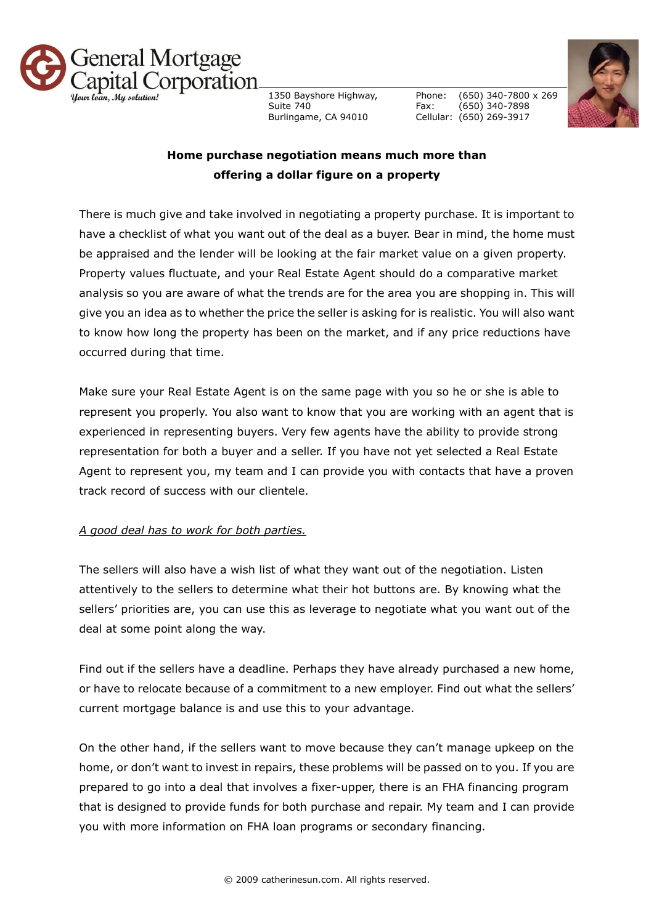

1350 Bayshore Highway, Suite 740 Burlingame, CA 94010

Phone: Fax: Cellular: (650) 269-3917 (650) 340-7800 x 269 (650) 340-7898



## **Home purchase negotiation means much more than offering a dollar figure on a property**

There is much give and take involved in negotiating a property purchase. It is important to have a checklist of what you want out of the deal as a buyer. Bear in mind, the home must be appraised and the lender will be looking at the fair market value on a given property. Property values fluctuate, and your Real Estate Agent should do a comparative market analysis so you are aware of what the trends are for the area you are shopping in. This will give you an idea as to whether the price the seller is asking for is realistic. You will also want to know how long the property has been on the market, and if any price reductions have occurred during that time.

Make sure your Real Estate Agent is on the same page with you so he or she is able to represent you properly. You also want to know that you are working with an agent that is experienced in representing buyers. Very few agents have the ability to provide strong representation for both a buyer and a seller. If you have not yet selected a Real Estate Agent to represent you, my team and I can provide you with contacts that have a proven track record of success with our clientele.

## *A good deal has to work for both parties.*

The sellers will also have a wish list of what they want out of the negotiation. Listen attentively to the sellers to determine what their hot buttons are. By knowing what the sellers' priorities are, you can use this as leverage to negotiate what you want out of the deal at some point along the way.

Find out if the sellers have a deadline. Perhaps they have already purchased a new home, or have to relocate because of a commitment to a new employer. Find out what the sellers' current mortgage balance is and use this to your advantage.

On the other hand, if the sellers want to move because they can't manage upkeep on the home, or don't want to invest in repairs, these problems will be passed on to you. If you are prepared to go into a deal that involves a fixer-upper, there is an FHA financing program that is designed to provide funds for both purchase and repair. My team and I can provide you with more information on FHA loan programs or secondary financing.